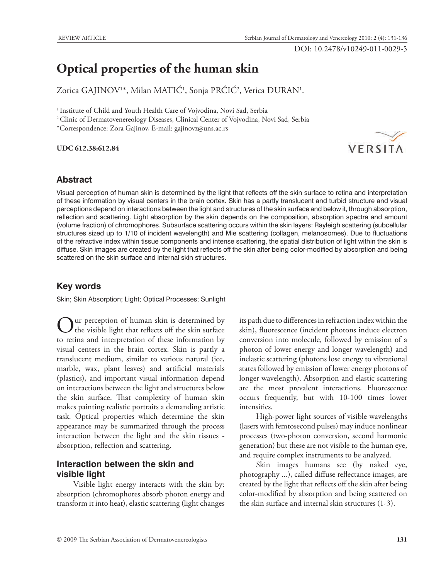DOI: 10.2478/v10249-011-0029-5

# **Optical properties of the human skin**

Zorica GAJINOV<sup>1\*</sup>, Milan MATIC<sup>1</sup>, Sonja PRCIC<sup>2</sup>, Verica ĐURAN<sup>1</sup>.

<sup>1</sup> Institute of Child and Youth Health Care of Vojvodina, Novi Sad, Serbia

2 Clinic of Dermatovenereology Diseases, Clinical Center of Vojvodina, Novi Sad, Serbia

\*Correspondence: Zora Gajinov, E-mail: gajinovz@uns.ac.rs

**UDC 612.38:612.84**



# **Abstract**

Visual perception of human skin is determined by the light that reflects off the skin surface to retina and interpretation of these information by visual centers in the brain cortex. Skin has a partly translucent and turbid structure and visual perceptions depend on interactions between the light and structures of the skin surface and below it, through absorption, reflection and scattering. Light absorption by the skin depends on the composition, absorption spectra and amount (volume fraction) of chromophores. Subsurface scattering occurs within the skin layers: Rayleigh scattering (subcellular structures sized up to 1/10 of incident wavelength) and Mie scattering (collagen, melanosomes). Due to fluctuations of the refractive index within tissue components and intense scattering, the spatial distribution of light within the skin is diffuse. Skin images are created by the light that reflects off the skin after being color-modified by absorption and being scattered on the skin surface and internal skin structures.

# **Key words**

Skin; Skin Absorption; Light; Optical Processes; Sunlight

Our perception of human skin is determined by the visible light that reflects off the skin surface to retina and interpretation of these information by visual centers in the brain cortex. Skin is partly a translucent medium, similar to various natural (ice, marble, wax, plant leaves) and artificial materials (plastics), and important visual information depend on interactions between the light and structures below the skin surface. That complexity of human skin makes painting realistic portraits a demanding artistic task. Optical properties which determine the skin appearance may be summarized through the process interaction between the light and the skin tissues absorption, reflection and scattering.

# **Interaction between the skin and visible light**

Visible light energy interacts with the skin by: absorption (chromophores absorb photon energy and transform it into heat), elastic scattering (light changes its path due to differences in refraction index within the skin), fluorescence (incident photons induce electron conversion into molecule, followed by emission of a photon of lower energy and longer wavelength) and inelastic scattering (photons lose energy to vibrational states followed by emission of lower energy photons of longer wavelength). Absorption and elastic scattering are the most prevalent interactions. Fluorescence occurs frequently, but with 10-100 times lower intensities.

High-power light sources of visible wavelengths (lasers with femtosecond pulses) may induce nonlinear processes (two-photon conversion, second harmonic generation) but these are not visible to the human eye, and require complex instruments to be analyzed.

Skin images humans see (by naked eye, photography ...), called diffuse reflectance images, are created by the light that reflects off the skin after being color-modified by absorption and being scattered on the skin surface and internal skin structures (1-3).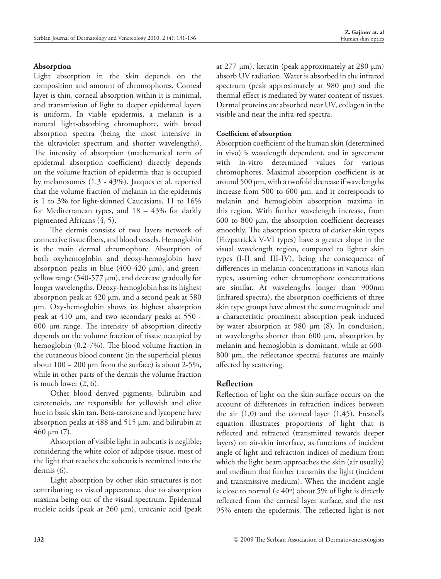Light absorption in the skin depends on the composition and amount of chromophores. Corneal layer is thin, corneal absorption within it is minimal, and transmission of light to deeper epidermal layers is uniform. In viable epidermis, a melanin is a natural light-absorbing chromophore, with broad absorption spectra (being the most intensive in the ultraviolet spectrum and shorter wavelengths). The intensity of absorption (mathematical term of epidermal absorption coefficient) directly depends on the volume fraction of epidermis that is occupied by melanosomes (1.3 - 43%). Jacques et al. reported that the volume fraction of melanin in the epidermis is 1 to 3% for light-skinned Caucasians, 11 to 16% for Mediterranean types, and 18 – 43% for darkly pigmented Africans (4, 5).

The dermis consists of two layers network of connective tissue fibers, and blood vessels. Hemoglobin is the main dermal chromophore. Absorption of both oxyhemoglobin and deoxy-hemoglobin have absorption peaks in blue  $(400-420 \mu m)$ , and greenyellow range (540-577 µm), and decrease gradually for longer wavelengths. Deoxy-hemoglobin has its highest absorption peak at  $420 \mu m$ , and a second peak at 580 µm. Oxy-hemoglobin shows its highest absorption peak at 410 µm, and two secondary peaks at 550 - 600 µm range. The intensity of absoprtion directly depends on the volume fraction of tissue occupied by hemoglobin (0.2-7%). The blood volume fraction in the cutaneous blood content (in the superficial plexus about  $100 - 200$  µm from the surface) is about 2-5%, while in other parts of the dermis the volume fraction is much lower (2, 6).

Other blood derived pigments, bilirubin and carotenoids, are responsible for yellowish and olive hue in basic skin tan. Beta-carotene and lycopene have absorption peaks at 488 and 515 µm, and bilirubin at 460 µm (7).

Absorption of visible light in subcutis is neglible; considering the white color of adipose tissue, most of the light that reaches the subcutis is reemitted into the dermis (6).

Light absorption by other skin structures is not contributing to visual appearance, due to absorption maxima being out of the visual spectrum. Epidermal nucleic acids (peak at 260 µm), urocanic acid (peak at 277  $\mu$ m), keratin (peak approximately at 280  $\mu$ m) absorb UV radiation. Water is absorbed in the infrared spectrum (peak approximately at 980 µm) and the thermal effect is mediated by water content of tissues. Dermal proteins are absorbed near UV, collagen in the visible and near the infra-red spectra.

#### **Coefficient of absorption**

Absorption coefficient of the human skin (determined in vivo) is wavelength dependent, and in agreement with in-vitro determined values for various chromophores. Maximal absorption coefficient is at around 500 µm, with a twofold decrease if wavelengths increase from 500 to 600 µm, and it corresponds to melanin and hemoglobin absorption maxima in this region. With further wavelength increase, from 600 to 800 µm, the absorption coefficient decreases smoothly. The absorption spectra of darker skin types (Fitzpatrick's V-VI types) have a greater slope in the visual wavelength region, compared to lighter skin types (I-II and III-IV), being the consequence of differences in melanin concentrations in various skin types, assuming other chromophore concentrations are similar. At wavelengths longer than 900nm (infrared spectra), the absorption coefficients of three skin type groups have almost the same magnitude and a characteristic prominent absorption peak induced by water absorption at 980 µm (8). In conclusion, at wavelengths shorter than 600 µm, absorption by melanin and hemoglobin is dominant, while at 600- 800 µm, the reflectance spectral features are mainly affected by scattering.

#### **Reflection**

Reflection of light on the skin surface occurs on the account of differences in refraction indices between the air  $(1,0)$  and the corneal layer  $(1,45)$ . Fresnel's equation illustrates proportions of light that is reflected and refracted (transmitted towards deeper layers) on air-skin interface, as functions of incident angle of light and refraction indices of medium from which the light beam approaches the skin (air usually) and medium that further transmits the light (incident and transmissive medium). When the incident angle is close to normal  $( $40^{\circ}$ )$  about 5% of light is directly reflected from the corneal layer surface, and the rest 95% enters the epidermis. The reflected light is not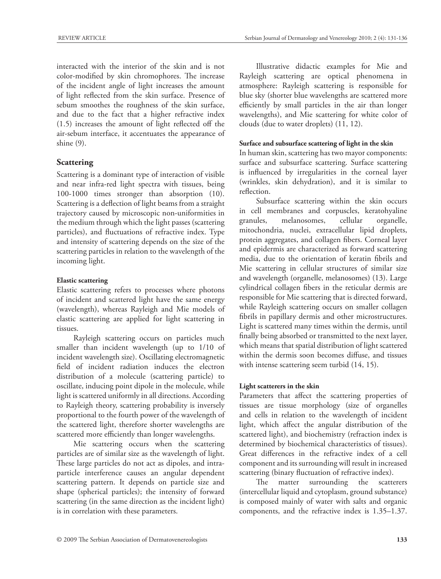interacted with the interior of the skin and is not color-modified by skin chromophores. The increase of the incident angle of light increases the amount of light reflected from the skin surface. Presence of sebum smoothes the roughness of the skin surface, and due to the fact that a higher refractive index (1.5) increases the amount of light reflected off the air-sebum interface, it accentuates the appearance of shine (9).

# **Scattering**

Scattering is a dominant type of interaction of visible and near infra-red light spectra with tissues, being 100-1000 times stronger than absorption (10). Scattering is a deflection of light beams from a straight trajectory caused by microscopic non-uniformities in the medium through which the light passes (scattering particles), and fluctuations of refractive index. Type and intensity of scattering depends on the size of the scattering particles in relation to the wavelength of the incoming light.

#### **Elastic scattering**

Elastic scattering refers to processes where photons of incident and scattered light have the same energy (wavelength), whereas Rayleigh and Mie models of elastic scattering are applied for light scattering in tissues.

Rayleigh scattering occurs on particles much smaller than incident wavelength (up to 1/10 of incident wavelength size). Oscillating electromagnetic field of incident radiation induces the electron distribution of a molecule (scattering particle) to oscillate, inducing point dipole in the molecule, while light is scattered uniformly in all directions. According to Rayleigh theory, scattering probability is inversely proportional to the fourth power of the wavelength of the scattered light, therefore shorter wavelengths are scattered more efficiently than longer wavelengths.

Mie scattering occurs when the scattering particles are of similar size as the wavelength of light. These large particles do not act as dipoles, and intraparticle interference causes an angular dependent scattering pattern. It depends on particle size and shape (spherical particles); the intensity of forward scattering (in the same direction as the incident light) is in correlation with these parameters.

Illustrative didactic examples for Mie and Rayleigh scattering are optical phenomena in atmosphere: Rayleigh scattering is responsible for blue sky (shorter blue wavelengths are scattered more efficiently by small particles in the air than longer wavelengths), and Mie scattering for white color of clouds (due to water droplets) (11, 12).

#### **Surface and subsurface scattering of light in the skin**

In human skin, scattering has two mayor components: surface and subsurface scattering. Surface scattering is influenced by irregularities in the corneal layer (wrinkles, skin dehydration), and it is similar to reflection.

Subsurface scattering within the skin occurs in cell membranes and corpuscles, keratohyaline granules, melanosomes, cellular organelle, mitochondria, nuclei, extracellular lipid droplets, protein aggregates, and collagen fibers. Corneal layer and epidermis are characterized as forward scattering media, due to the orientation of keratin fibrils and Mie scattering in cellular structures of similar size and wavelength (organelle, melanosomes) (13). Large cylindrical collagen fibers in the reticular dermis are responsible for Mie scattering that is directed forward, while Rayleigh scattering occurs on smaller collagen fibrils in papillary dermis and other microstructures. Light is scattered many times within the dermis, until finally being absorbed or transmitted to the next layer, which means that spatial distribution of light scattered within the dermis soon becomes diffuse, and tissues with intense scattering seem turbid (14, 15).

#### **Light scatterers in the skin**

Parameters that affect the scattering properties of tissues are tissue morphology (size of organelles and cells in relation to the wavelength of incident light, which affect the angular distribution of the scattered light), and biochemistry (refraction index is determined by biochemical characteristics of tissues). Great differences in the refractive index of a cell component and its surrounding will result in increased scattering (binary fluctuation of refractive index).

The matter surrounding the scatterers (intercellular liquid and cytoplasm, ground substance) is composed mainly of water with salts and organic components, and the refractive index is 1.35–1.37.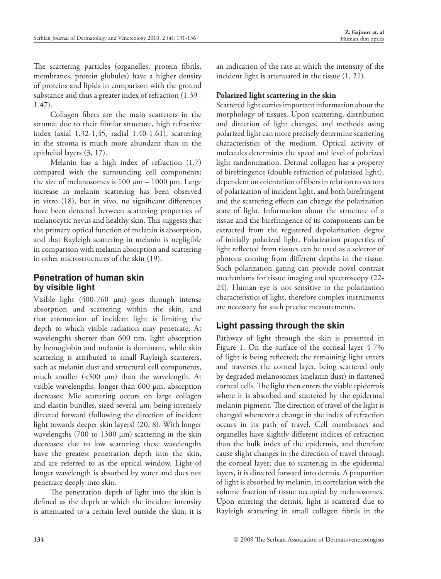The scattering particles (organelles, protein fibrils, membranes, protein globules) have a higher density of proteins and lipids in comparison with the ground substance and thus a greater index of refraction (1*.*39– 1*.*47).

Collagen fibers are the main scatterers in the stroma; due to their fibrilar structure, high refractive index (axial 1.32-1,45, radial 1.40-1.61), scattering in the stroma is much more abundant than in the epithelial layers (3, 17).

Melanin has a high index of refraction (1.7) compared with the surrounding cell components; the size of melanosomes is  $100 \mu m - 1000 \mu m$ . Large increase in melanin scattering has been observed in vitro (18), but in vivo, no significant differences have been detected between scattering properties of melanocytic nevus and healthy skin. This suggests that the primary optical function of melanin is absorption, and that Rayleigh scattering in melanin is negligible in comparison with melanin absorption and scattering in other microstructures of the skin (19).

# **Penetration of human skin by visible light**

Visible light (400-760 µm) goes through intense absorption and scattering within the skin, and that attenuation of incident light is limiting the depth to which visible radiation may penetrate. At wavelengths shorter than 600 nm, light absorption by hemoglobin and melanin is dominant, while skin scattering is attributed to small Rayleigh scatterers, such as melanin dust and structural cell components, much smaller (<300 µm) than the wavelength. At visible wavelengths, longer than 600 µm, absorption decreases; Mie scattering occurs on large collagen and elastin bundles, sized several µm, being intensely directed forward (following the direction of incident light towards deeper skin layers) (20, 8). With longer wavelengths  $(700 \text{ to } 1300 \text{ µm})$  scattering in the skin decreases; due to low scattering these wavelengths have the greatest penetration depth into the skin, and are referred to as the optical window. Light of longer wavelength is absorbed by water and does not penetrate deeply into skin.

The penetration depth of light into the skin is defined as the depth at which the incident intensity is attenuated to a certain level outside the skin; it is an indication of the rate at which the intensity of the incident light is attenuated in the tissue (1, 21).

### **Polarized light scattering in the skin**

Scattered light carries important information about the morphology of tissues. Upon scattering, distribution and direction of light changes, and methods using polarized light can more precisely determine scattering characteristics of the medium. Optical activity of molecules determines the speed and level of polarized light randomization. Dermal collagen has a property of birefringence (double refraction of polarized light), dependent on orientation of fibers in relation to vectors of polarization of incident light, and both birefringent and the scattering effects can change the polarization state of light. Information about the structure of a tissue and the birefringence of its components can be extracted from the registered depolarization degree of initially polarized light. Polarization properties of light reflected from tissues can be used as a selector of photons coming from different depths in the tissue. Such polarization gating can provide novel contrast mechanisms for tissue imaging and spectroscopy (22- 24). Human eye is not sensitive to the polarization characteristics of light, therefore complex instruments are necessary for such precise measurements.

# **Light passing through the skin**

Pathway of light through the skin is presented in Figure 1. On the surface of the corneal layer 4-7% of light is being reflected; the remaining light enters and traverses the corneal layer, being scattered only by degraded melanosomes (melanin dust) in flattened corneal cells. The light then enters the viable epidermis where it is absorbed and scattered by the epidermal melanin pigment. The direction of travel of the light is changed whenever a change in the index of refraction occurs in its path of travel. Cell membranes and organelles have slightly different indices of refraction than the bulk index of the epidermis, and therefore cause slight changes in the direction of travel through the corneal layer; due to scattering in the epidermal layers, it is directed forward into dermis. A proportion of light is absorbed by melanin, in correlation with the volume fraction of tissue occupied by melanosomes. Upon entering the dermis, light is scattered due to Rayleigh scattering in small collagen fibrils in the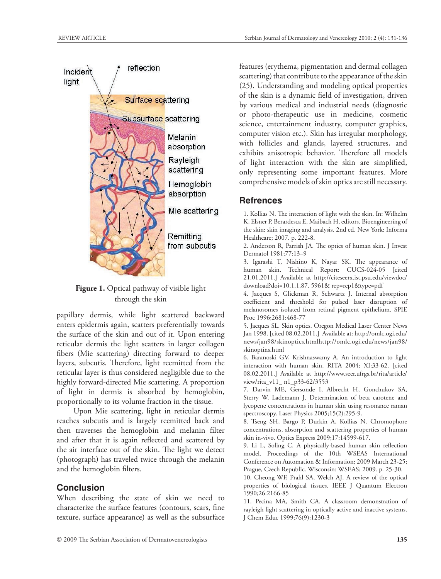

Figure 1. Optical pathway of visible light through the skin

papillary dermis, while light scattered backward enters epidermis again, scatters preferentially towards the surface of the skin and out of it. Upon entering reticular dermis the light scatters in larger collagen fibers (Mie scattering) directing forward to deeper layers, subcutis. Therefore, light reemitted from the reticular layer is thus considered negligible due to the highly forward-directed Mie scattering. A proportion of light in dermis is absorbed by hemoglobin, proportionally to its volume fraction in the tissue.

Upon Mie scattering, light in reticular dermis reaches subcutis and is largely reemitted back and then traverses the hemoglobin and melanin filter and after that it is again reflected and scattered by the air interface out of the skin. The light we detect (photograph) has traveled twice through the melanin and the hemoglobin filters.

# **Conclusion**

When describing the state of skin we need to characterize the surface features (contours, scars, fine texture, surface appearance) as well as the subsurface features (erythema, pigmentation and dermal collagen scattering) that contribute to the appearance of the skin (25). Understanding and modeling optical properties of the skin is a dynamic field of investigation, driven by various medical and industrial needs (diagnostic or photo-therapeutic use in medicine, cosmetic science, entertainment industry, computer graphics, computer vision etc.). Skin has irregular morphology, with follicles and glands, layered structures, and exhibits anisotropic behavior. Therefore all models of light interaction with the skin are simplified, only representing some important features. More comprehensive models of skin optics are still necessary.

# **Refrences**

1. Kollias N. The interaction of light with the skin. In: Wilhelm K, Elsner P, Berardesca E, Maibach H, editors, Bioengineering of the skin: skin imaging and analysis. 2nd ed. New York: Informa Healthcare; 2007. p. 222-8.

2. Anderson R, Parrish JA. The optics of human skin. J Invest Dermatol 1981;77:13–9

3. Igarashi T, Nishino K, Nayar SK. The appearance of human skin. Technical Report: CUCS-024-05 [cited 21.01.2011.] Available at http://citeseerx.ist.psu.edu/viewdoc/ download?doi=10.1.1.87. 5961& rep=rep1&type=pdf

4. Jacques S, Glickman R, Schwartz J. Internal absorption coefficient and threshold for pulsed laser disruption of melanosomes isolated from retinal pigment epithelium. SPIE Proc 1996;2681:468-77

5. Jacques SL. Skin optics. Oregon Medical Laser Center News Jan 1998. [cited 08.02.2011.] Available at: http://omlc.ogi.edu/ news/jan98/skinoptics.htmlhttp://omlc.ogi.edu/news/jan98/ skinoptins.html

6. Baranoski GV, Krishnaswamy A. An introduction to light interaction with human skin. RITA 2004; XI:33-62. [cited 08.02.2011.] Available at http://www.seer.ufrgs.br/rita/article/ view/rita\_v11\_ n1\_p33-62/3553

7. Darvin ME, Gersonde I, Albrecht H, Gonchukov SA, Sterry W, Lademann J. Determination of beta carotene and lycopene concentrations in human skin using resonance raman spectroscopy. Laser Physics 2005;15(2):295-9.

8. Tseng SH, Bargo P, Durkin A, Kollias N. Chromophore concentrations, absorption and scattering properties of human skin in-vivo. Optics Express 2009;17:14599-617.

9. Li L, Soling C. A physically-based human skin reflection model. Proceedings of the 10th WSEAS International Conference on Automation & Information; 2009 March 23-25; Prague, Czech Republic. Wisconsin: WSEAS; 2009. p. 25-30.

10. Cheong WF, Prahl SA, Welch AJ. A review of the optical properties of biological tissues. IEEE J Quantum Electron 1990;26:2166-85

11. Pecina MA, Smith CA. A classroom demonstration of rayleigh light scattering in optically active and inactive systems. J Chem Educ 1999;76(9):1230-3